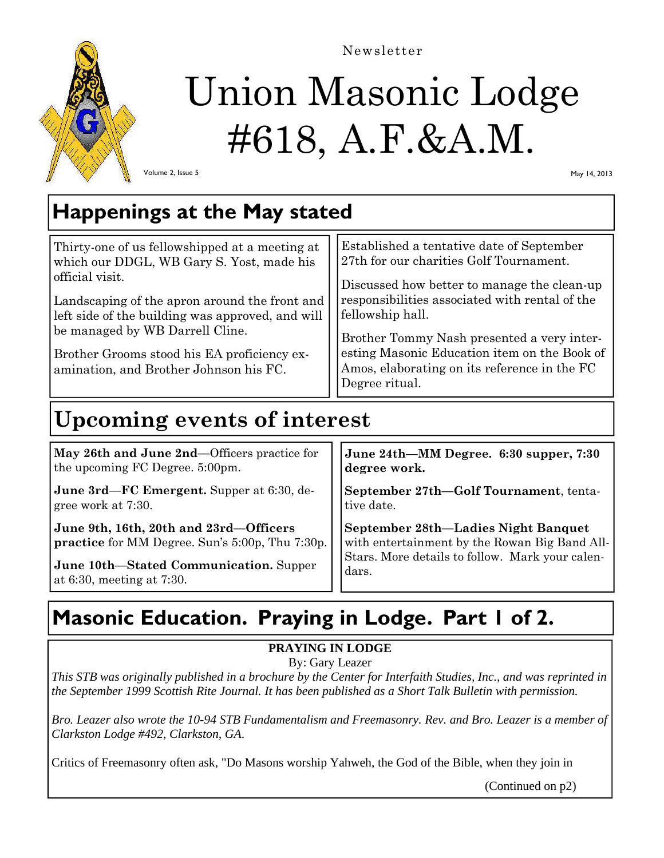

Newsletter

# Union Masonic Lodge #618, A.F.&A.M.

Volume 2, Issue 5

May 14, 2013

### **Happenings at the May stated**

| Thirty-one of us fellowshipped at a meeting at<br>which our DDGL, WB Gary S. Yost, made his<br>official visit. | Established a tentative date of September<br>27th for our charities Golf Tournament.<br>Discussed how better to manage the clean-up |  |
|----------------------------------------------------------------------------------------------------------------|-------------------------------------------------------------------------------------------------------------------------------------|--|
| Landscaping of the apron around the front and<br>left side of the building was approved, and will              | responsibilities associated with rental of the<br>fellowship hall.                                                                  |  |
| be managed by WB Darrell Cline.                                                                                | Brother Tommy Nash presented a very inter-                                                                                          |  |
| Brother Grooms stood his EA proficiency ex-                                                                    | esting Masonic Education item on the Book of                                                                                        |  |
| amination, and Brother Johnson his FC.                                                                         | Amos, elaborating on its reference in the FC                                                                                        |  |
|                                                                                                                | Degree ritual.                                                                                                                      |  |

### **Upcoming events of interest**

**May 26th and June 2nd—**Officers practice for the upcoming FC Degree. 5:00pm. **June 3rd—FC Emergent.** Supper at 6:30, de**degree work.** 

gree work at 7:30.

**June 9th, 16th, 20th and 23rd—Officers practice** for MM Degree. Sun's 5:00p, Thu 7:30p.

**June 10th—Stated Communication.** Supper at 6:30, meeting at 7:30.

**June 24th—MM Degree. 6:30 supper, 7:30** 

**September 27th—Golf Tournament**, tentative date.

**September 28th—Ladies Night Banquet**  with entertainment by the Rowan Big Band All-Stars. More details to follow. Mark your calendars.

## **Masonic Education. Praying in Lodge. Part 1 of 2.**

### **PRAYING IN LODGE**

By: Gary Leazer

*This STB was originally published in a brochure by the Center for Interfaith Studies, Inc., and was reprinted in the September 1999 Scottish Rite Journal. It has been published as a Short Talk Bulletin with permission.*

*Bro. Leazer also wrote the 10-94 STB Fundamentalism and Freemasonry. Rev. and Bro. Leazer is a member of Clarkston Lodge #492, Clarkston, GA*.

Critics of Freemasonry often ask, "Do Masons worship Yahweh, the God of the Bible, when they join in

(Continued on p2)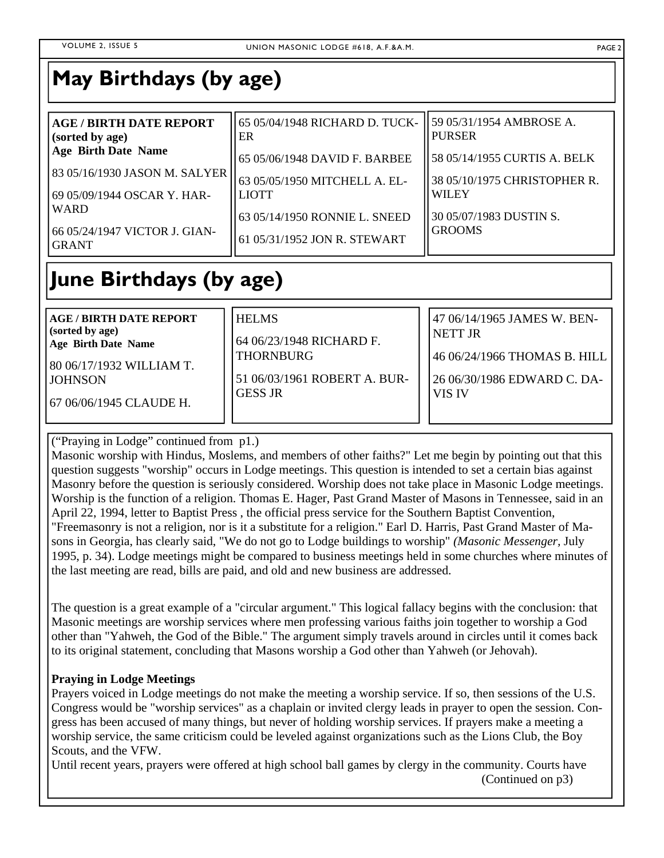### **May Birthdays (by age)**

| <b>AGE / BIRTH DATE REPORT</b><br>(sorted by age) | 65 05/04/1948 RICHARD D. TUCK-<br>ER | 59 05/31/1954 AMBROSE A.<br><b>PURSER</b> |
|---------------------------------------------------|--------------------------------------|-------------------------------------------|
| <b>Age Birth Date Name</b>                        | 65 05/06/1948 DAVID F. BARBEE        | 58 05/14/1955 CURTIS A. BELK              |
| 83 05/16/1930 JASON M. SALYER                     | 63 05/05/1950 MITCHELL A. EL-        | 38 05/10/1975 CHRISTOPHER R.              |
| 69 05/09/1944 OSCAR Y. HAR-                       | <b>LIOTT</b>                         | <b>WILEY</b>                              |
| <b>WARD</b>                                       | 63 05/14/1950 RONNIE L. SNEED        | 30 05/07/1983 DUSTIN S.                   |
| 66 05/24/1947 VICTOR J. GIAN-<br><b>GRANT</b>     | 61 05/31/1952 JON R. STEWART         | <b>GROOMS</b>                             |

### **June Birthdays (by age)**

**AGE / BIRTH DATE REPORT (sorted by age) Age Birth Date Name** 

80 06/17/1932 WILLIAM T. **JOHNSON** 

67 06/06/1945 CLAUDE H.

64 06/23/1948 RICHARD F. THORNBURG

HELMS

51 06/03/1961 ROBERT A. BUR-GESS JR

47 06/14/1965 JAMES W. BEN-NETT JR

46 06/24/1966 THOMAS B. HILL

26 06/30/1986 EDWARD C. DA-VIS IV

("Praying in Lodge" continued from p1.)

Masonic worship with Hindus, Moslems, and members of other faiths?" Let me begin by pointing out that this question suggests "worship" occurs in Lodge meetings. This question is intended to set a certain bias against Masonry before the question is seriously considered. Worship does not take place in Masonic Lodge meetings. Worship is the function of a religion. Thomas E. Hager, Past Grand Master of Masons in Tennessee, said in an April 22, 1994, letter to Baptist Press , the official press service for the Southern Baptist Convention, "Freemasonry is not a religion, nor is it a substitute for a religion." Earl D. Harris, Past Grand Master of Masons in Georgia, has clearly said, "We do not go to Lodge buildings to worship" *(Masonic Messenger,* July 1995, p. 34). Lodge meetings might be compared to business meetings held in some churches where minutes of the last meeting are read, bills are paid, and old and new business are addressed.

The question is a great example of a "circular argument." This logical fallacy begins with the conclusion: that Masonic meetings are worship services where men professing various faiths join together to worship a God other than "Yahweh, the God of the Bible." The argument simply travels around in circles until it comes back to its original statement, concluding that Masons worship a God other than Yahweh (or Jehovah).

#### **Praying in Lodge Meetings**

Prayers voiced in Lodge meetings do not make the meeting a worship service. If so, then sessions of the U.S. Congress would be "worship services" as a chaplain or invited clergy leads in prayer to open the session. Congress has been accused of many things, but never of holding worship services. If prayers make a meeting a worship service, the same criticism could be leveled against organizations such as the Lions Club, the Boy Scouts, and the VFW.

Until recent years, prayers were offered at high school ball games by clergy in the community. Courts have (Continued on p3)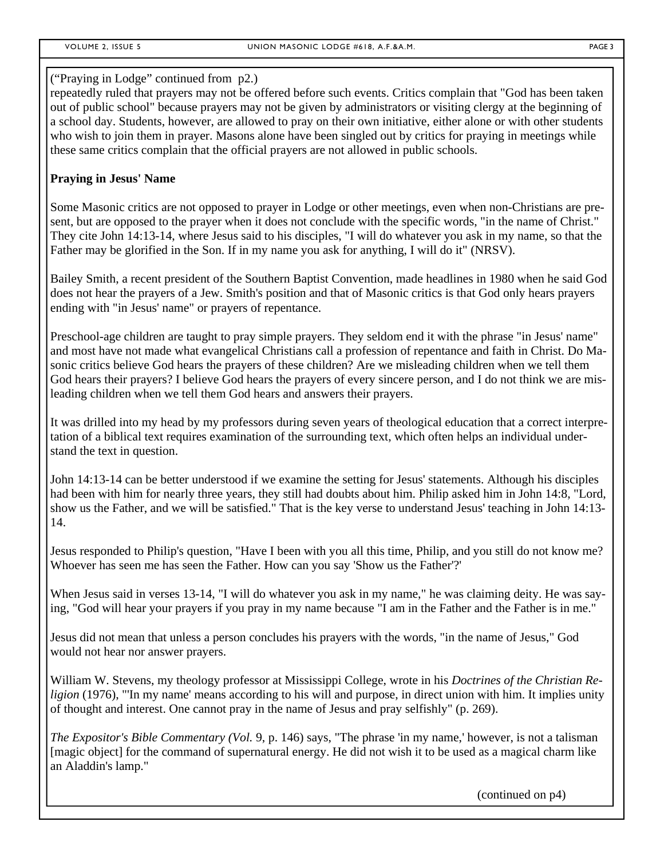#### ("Praying in Lodge" continued from p2.)

repeatedly ruled that prayers may not be offered before such events. Critics complain that "God has been taken out of public school" because prayers may not be given by administrators or visiting clergy at the beginning of a school day. Students, however, are allowed to pray on their own initiative, either alone or with other students who wish to join them in prayer. Masons alone have been singled out by critics for praying in meetings while these same critics complain that the official prayers are not allowed in public schools.

#### **Praying in Jesus' Name**

Some Masonic critics are not opposed to prayer in Lodge or other meetings, even when non-Christians are present, but are opposed to the prayer when it does not conclude with the specific words, "in the name of Christ." They cite John 14:13-14, where Jesus said to his disciples, "I will do whatever you ask in my name, so that the Father may be glorified in the Son. If in my name you ask for anything, I will do it" (NRSV).

Bailey Smith, a recent president of the Southern Baptist Convention, made headlines in 1980 when he said God does not hear the prayers of a Jew. Smith's position and that of Masonic critics is that God only hears prayers ending with "in Jesus' name" or prayers of repentance.

Preschool-age children are taught to pray simple prayers. They seldom end it with the phrase "in Jesus' name" and most have not made what evangelical Christians call a profession of repentance and faith in Christ. Do Masonic critics believe God hears the prayers of these children? Are we misleading children when we tell them God hears their prayers? I believe God hears the prayers of every sincere person, and I do not think we are misleading children when we tell them God hears and answers their prayers.

It was drilled into my head by my professors during seven years of theological education that a correct interpretation of a biblical text requires examination of the surrounding text, which often helps an individual understand the text in question.

John 14:13-14 can be better understood if we examine the setting for Jesus' statements. Although his disciples had been with him for nearly three years, they still had doubts about him. Philip asked him in John 14:8, "Lord, show us the Father, and we will be satisfied." That is the key verse to understand Jesus' teaching in John 14:13- 14.

Jesus responded to Philip's question, "Have I been with you all this time, Philip, and you still do not know me? Whoever has seen me has seen the Father. How can you say 'Show us the Father'?'

When Jesus said in verses 13-14, "I will do whatever you ask in my name," he was claiming deity. He was saying, "God will hear your prayers if you pray in my name because "I am in the Father and the Father is in me."

Jesus did not mean that unless a person concludes his prayers with the words, "in the name of Jesus," God would not hear nor answer prayers.

William W. Stevens, my theology professor at Mississippi College, wrote in his *Doctrines of the Christian Religion* (1976), "'In my name' means according to his will and purpose, in direct union with him. It implies unity of thought and interest. One cannot pray in the name of Jesus and pray selfishly" (p. 269).

*The Expositor's Bible Commentary (Vol.* 9, p. 146) says, "The phrase 'in my name,' however, is not a talisman [magic object] for the command of supernatural energy. He did not wish it to be used as a magical charm like an Aladdin's lamp."

(continued on p4)